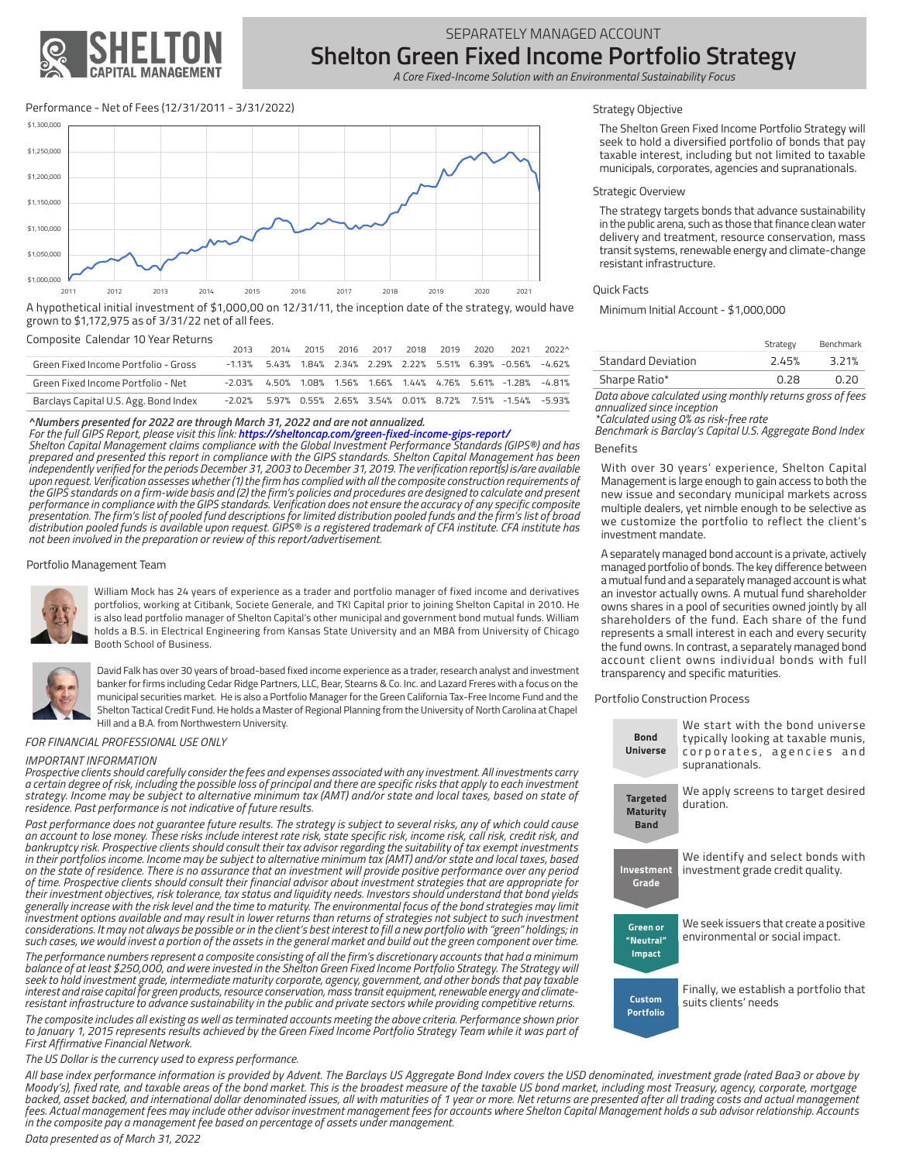

# SEPARATELY MANAGED ACCOUNT **Shelton Green Fixed Income Portfolio Strategy**

 *A Core Fixed-Income Solution with an Environmental Sustainability Focus*

# Performance - Net of Fees (12/31/2011 - 3/31/2022)



A hypothetical initial investment of \$1,000,00 on 12/31/11, the inception date of the strategy, would have grown to \$1,172,975 as of 3/31/22 net of all fees.

#### Composite Calendar 10 Year Returns

|                                       | 2013 |  | 2014 2015 2016 2017 2018 2019 2020 |  | 2021                                                                    | 2022^ |
|---------------------------------------|------|--|------------------------------------|--|-------------------------------------------------------------------------|-------|
| Green Fixed Income Portfolio - Gross  |      |  |                                    |  | $-1.13\%$ 5.43% 1.84% 2.34% 2.29% 2.22% 5.51% 6.39% $-0.56\%$ $-4.62\%$ |       |
| Green Fixed Income Portfolio - Net    |      |  |                                    |  | $-2.03\%$ 4.50% 1.08% 1.56% 1.66% 1.44% 4.76% 5.61% -1.28% -4.81%       |       |
| Barclays Capital U.S. Agg. Bond Index |      |  |                                    |  | $-2.02\%$ 5.97% 0.55% 2.65% 3.54% 0.01% 8.72% 7.51% $-1.54\%$ $-5.93\%$ |       |

#### *^Numbers presented for 2022 are through March 31, 2022 and are not annualized.*

*For the full GIPS Report, please visit this link: https://sheltoncap.com/green-fixed-income-gips-report/* 

*Shelton Capital Management claims compliance with the Global Investment Performance Standards (GIPS®) and has prepared and presented this report in compliance with the GIPS standards. Shelton Capital Management has been independently verified for the periods December 31, 2003 to December 31, 2019. The verification report(s) is/are available*  upon request. Verification assesses whether (1) the firm has complied with all the composite construction requirements of<br>the GIPS standards on a firm-wide basis and (2) the firm's policies and procedures are designed to c *performance in compliance with the GIPS standards. Verification does not ensure the accuracy of any specific composite presentation. The firm's list of pooled fund descriptions for limited distribution pooled funds and the firm's list of broad distribution pooled funds is available upon request. GIPS® is a registered trademark of CFA institute. CFA institute has not been involved in the preparation or review of this report/advertisement.*

## Portfolio Management Team



William Mock has 24 years of experience as a trader and portfolio manager of fixed income and derivatives portfolios, working at Citibank, Societe Generale, and TKI Capital prior to joining Shelton Capital in 2010. He is also lead portfolio manager of Shelton Capital's other municipal and government bond mutual funds. William holds a B.S. in Electrical Engineering from Kansas State University and an MBA from University of Chicago Booth School of Business.

David Falk has over 30 years of broad-based fixed income experience as a trader, research analyst and investment banker for firms including Cedar Ridge Partners, LLC, Bear, Stearns & Co. Inc. and Lazard Freres with a focus on the municipal securities market. He is also a Portfolio Manager for the Green California Tax-Free Income Fund and the Shelton Tactical Credit Fund. He holds a Master of Regional Planning from the University of North Carolina at Chapel Hill and a B.A. from Northwestern University.

*FOR FINANCIAL PROFESSIONAL USE ONLY*

#### *IMPORTANT INFORMATION*

*Prospective clients should carefully consider the fees and expenses associated with any investment. All investments carry a certain degree of risk, including the possible loss of principal and there are specific risks that apply to each investment strategy. Income may be subject to alternative minimum tax (AMT) and/or state and local taxes, based on state of residence. Past performance is not indicative of future results.*

Past performance does not guarantee future results. The strategy is subject to several risks, any of which could cause<br>an account to lose money. These risks include interest rate risk, state specific risk, income risk, cal bankruptcy risk. Prospective clients should consult their tax advisor regarding the suitability of tax exempt investments *in their portfolios income. Income may be subject to alternative minimum tax (AMT) and/or state and local taxes, based on the state of residence. There is no assurance that an investment will provide positive performance over any period of time. Prospective clients should consult their financial advisor about investment strategies that are appropriate for*  their investment objectives, risk tolerance, tax status and liquidity needs. Investors should understand that bond yields *generally increase with the risk level and the time to maturity. The environmental focus of the bond strategies may limit investment options available and may result in lower returns than returns of strategies not subject to such investment* considerations. It may not always be possible or in the client's best interest to fill a new portfolio with "green" holdings; in<br>such cases, we would invest a portion of the assets in the general market and build out the g

*The performance numbers represent a composite consisting of all the firm's discretionary accounts that had a minimum balance of at least \$250,000, and were invested in the Shelton Green Fixed Income Portfolio Strategy. The Strategy will seek to hold investment‐grade, intermediate maturity corporate, agency, government, and other bonds that pay taxable interest and raise capital for green products, resource conservation, mass transit equipment, renewable energy and climateresistant infrastructure to advance sustainability in the public and private sectors while providing competitive returns.* 

*The composite includes all existing as well as terminated accounts meeting the above criteria. Performance shown prior*  to January 1, 2015 represents results achieved by the Green Fixed Income Portfolio Strategy Team while it was part of *First Affirmative Financial Network.*

## *The US Dollar is the currency used to express performance.*

All base index performance information is provided by Advent. The Barclays US Aggregate Bond Index covers the USD denominated, investment grade (rated Baa3 or above by *Moody's), fixed rate, and taxable areas of the bond market. This is the broadest measure of the taxable US bond market, including most Treasury, agency, corporate, mortgage* backed, asset backed, and international dollar denominated issues, all with maturities of 1 year or more. Net returns are presented after all trading costs and actual management *fees. Actual management fees may include other advisor investment management fees for accounts where Shelton Capital Management holds a sub‐advisor relationship. Accounts in the composite pay a management fee based on percentage of assets under management.* 

## Strategy Objective

The Shelton Green Fixed Income Portfolio Strategy will seek to hold a diversified portfolio of bonds that pay taxable interest, including but not limited to taxable municipals, corporates, agencies and supranationals.

# Strategic Overview

The strategy targets bonds that advance sustainability in the public arena, such as those that finance clean water delivery and treatment, resource conservation, mass transit systems, renewable energy and climate-change resistant infrastructure.

## Quick Facts

Minimum Initial Account - \$1,000,000

|                    | Strategy | Benchmark |
|--------------------|----------|-----------|
| Standard Deviation | 2.45%    | 3.21%     |
| Sharpe Ratio*      | 0.28     | 0.20      |

*Data above calculated using monthly returns gross of fees annualized since inception*

*\*Calculated using 0% as risk-free rate*

**Benefits** *Benchmark is Barclay's Capital U.S. Aggregate Bond Index*

With over 30 years' experience, Shelton Capital Management is large enough to gain access to both the new issue and secondary municipal markets across multiple dealers, yet nimble enough to be selective as we customize the portfolio to reflect the client's investment mandate.

A separately managed bond account is a private, actively managed portfolio of bonds. The key difference between a mutual fund and a separately managed account is what an investor actually owns. A mutual fund shareholder owns shares in a pool of securities owned jointly by all shareholders of the fund. Each share of the fund represents a small interest in each and every security the fund owns. In contrast, a separately managed bond account client owns individual bonds with full transparency and specific maturities.

#### Portfolio Construction Process

| <b>Bond</b><br>Universe                           | We start with the bond universe<br>typically looking at taxable munis,<br>corporates, agencies and<br>supranationals. |
|---------------------------------------------------|-----------------------------------------------------------------------------------------------------------------------|
| <b>Targeted</b><br><b>Maturity</b><br><b>Band</b> | We apply screens to target desired<br>duration.                                                                       |
| <b>Investment</b><br>Grade                        | We identify and select bonds with<br>investment grade credit quality.                                                 |
| <b>Green or</b><br>"Neutral"<br>Impact            | We seek issuers that create a positive<br>environmental or social impact.                                             |
| Custom<br><b>Portfolio</b>                        | Finally, we establish a portfolio that<br>suits clients' needs                                                        |